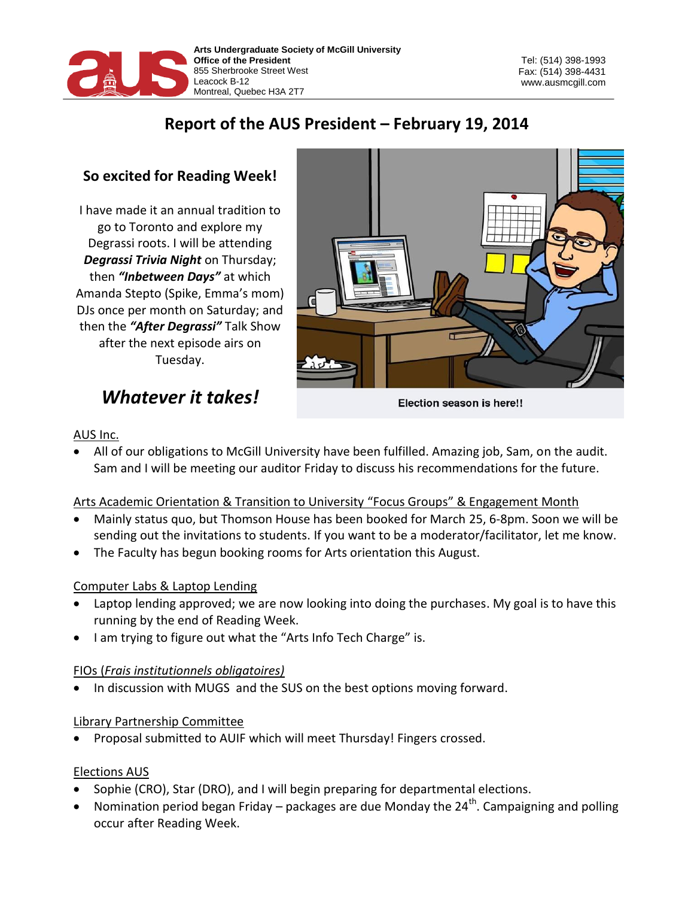

Tel: (514) 398-1993 Fax: (514) 398-4431 www.ausmcgill.com

## **Report of the AUS President – February 19, 2014**

### **So excited for Reading Week!**

I have made it an annual tradition to go to Toronto and explore my Degrassi roots. I will be attending *Degrassi Trivia Night* on Thursday; then *"Inbetween Days"* at which Amanda Stepto (Spike, Emma's mom) DJs once per month on Saturday; and then the *"After Degrassi"* Talk Show after the next episode airs on Tuesday.

# *Whatever it takes!*



Election season is here!!

#### AUS Inc.

 All of our obligations to McGill University have been fulfilled. Amazing job, Sam, on the audit. Sam and I will be meeting our auditor Friday to discuss his recommendations for the future.

#### Arts Academic Orientation & Transition to University "Focus Groups" & Engagement Month

- Mainly status quo, but Thomson House has been booked for March 25, 6-8pm. Soon we will be sending out the invitations to students. If you want to be a moderator/facilitator, let me know.
- The Faculty has begun booking rooms for Arts orientation this August.

#### Computer Labs & Laptop Lending

- Laptop lending approved; we are now looking into doing the purchases. My goal is to have this running by the end of Reading Week.
- I am trying to figure out what the "Arts Info Tech Charge" is.

#### FIOs (*Frais institutionnels obligatoires)*

• In discussion with MUGS and the SUS on the best options moving forward.

#### Library Partnership Committee

Proposal submitted to AUIF which will meet Thursday! Fingers crossed.

#### Elections AUS

- Sophie (CRO), Star (DRO), and I will begin preparing for departmental elections.
- Nomination period began Friday packages are due Monday the  $24^{th}$ . Campaigning and polling occur after Reading Week.